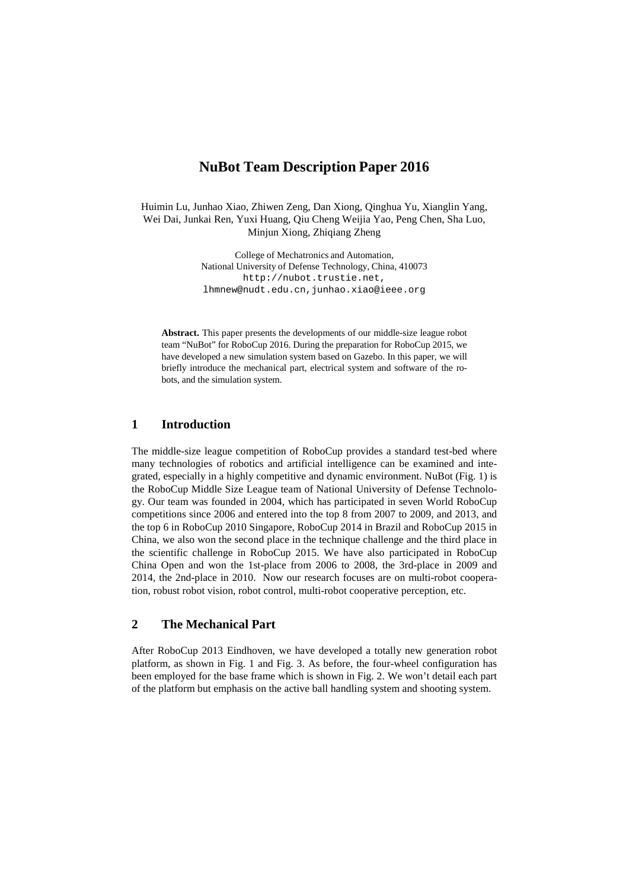# **NuBot Team Description Paper 2016**

Huimin Lu, Junhao Xiao, Zhiwen Zeng, Dan Xiong, Qinghua Yu, Xianglin Yang, Wei Dai, Junkai Ren, Yuxi Huang, Qiu Cheng Weijia Yao, Peng Chen, Sha Luo, Minjun Xiong, Zhiqiang Zheng

> College of Mechatronics and Automation, National University of Defense Technology, China, 41007[3](http://nubot.trustie.net,/) [http://nubot.trustie.net,](http://nubot.trustie.net,/)  [lhmnew@nudt.edu.cn,junhao.xiao@ieee.org](mailto:lhmnew@nudt.edu.cn,)

**Abstract.** This paper presents the developments of our middle-size league robot team "NuBot" for RoboCup 2016. During the preparation for RoboCup 2015, we have developed a new simulation system based on Gazebo. In this paper, we will briefly introduce the mechanical part, electrical system and software of the robots, and the simulation system.

## **1 Introduction**

The middle-size league competition of RoboCup provides a standard test-bed where many technologies of robotics and artificial intelligence can be examined and integrated, especially in a highly competitive and dynamic environment. NuBot (Fig. 1) is the RoboCup Middle Size League team of National University of Defense Technology. Our team was founded in 2004, which has participated in seven World RoboCup competitions since 2006 and entered into the top 8 from 2007 to 2009, and 2013, and the top 6 in RoboCup 2010 Singapore, RoboCup 2014 in Brazil and RoboCup 2015 in China, we also won the second place in the technique challenge and the third place in the scientific challenge in RoboCup 2015. We have also participated in RoboCup China Open and won the 1st-place from 2006 to 2008, the 3rd-place in 2009 and 2014, the 2nd-place in 2010. Now our research focuses are on multi-robot cooperation, robust robot vision, robot control, multi-robot cooperative perception, etc.

## **2 The Mechanical Part**

After RoboCup 2013 Eindhoven, we have developed a totally new generation robot platform, as shown in Fig. 1 and Fig. 3. As before, the four-wheel configuration has been employed for the base frame which is shown in Fig. 2. We won't detail each part of the platform but emphasis on the active ball handling system and shooting system.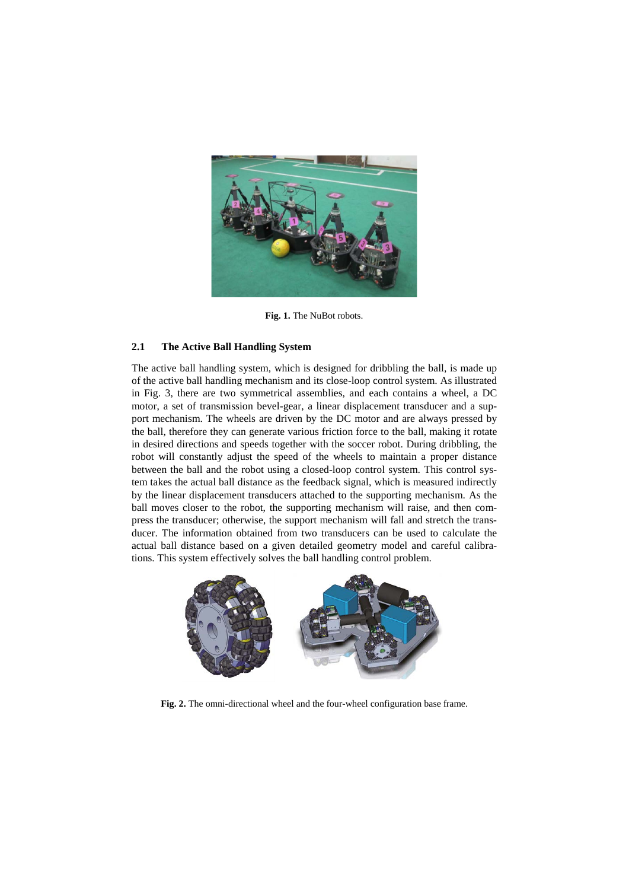

**Fig. 1.** The NuBot robots.

### **2.1 The Active Ball Handling System**

The active ball handling system, which is designed for dribbling the ball, is made up of the active ball handling mechanism and its close-loop control system. As illustrated in Fig. 3, there are two symmetrical assemblies, and each contains a wheel, a DC motor, a set of transmission bevel-gear, a linear displacement transducer and a support mechanism. The wheels are driven by the DC motor and are always pressed by the ball, therefore they can generate various friction force to the ball, making it rotate in desired directions and speeds together with the soccer robot. During dribbling, the robot will constantly adjust the speed of the wheels to maintain a proper distance between the ball and the robot using a closed-loop control system. This control system takes the actual ball distance as the feedback signal, which is measured indirectly by the linear displacement transducers attached to the supporting mechanism. As the ball moves closer to the robot, the supporting mechanism will raise, and then compress the transducer; otherwise, the support mechanism will fall and stretch the transducer. The information obtained from two transducers can be used to calculate the actual ball distance based on a given detailed geometry model and careful calibrations. This system effectively solves the ball handling control problem.



**Fig. 2.** The omni-directional wheel and the four-wheel configuration base frame.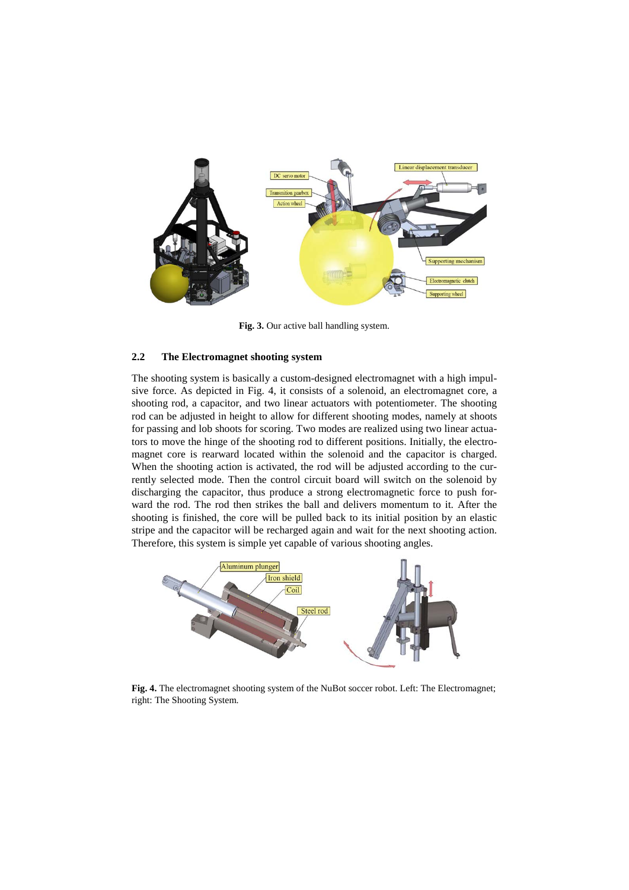

**Fig. 3.** Our active ball handling system.

### **2.2 The Electromagnet shooting system**

The shooting system is basically a custom-designed electromagnet with a high impulsive force. As depicted in Fig. 4, it consists of a solenoid, an electromagnet core, a shooting rod, a capacitor, and two linear actuators with potentiometer. The shooting rod can be adjusted in height to allow for different shooting modes, namely at shoots for passing and lob shoots for scoring. Two modes are realized using two linear actuators to move the hinge of the shooting rod to different positions. Initially, the electromagnet core is rearward located within the solenoid and the capacitor is charged. When the shooting action is activated, the rod will be adjusted according to the currently selected mode. Then the control circuit board will switch on the solenoid by discharging the capacitor, thus produce a strong electromagnetic force to push forward the rod. The rod then strikes the ball and delivers momentum to it. After the shooting is finished, the core will be pulled back to its initial position by an elastic stripe and the capacitor will be recharged again and wait for the next shooting action. Therefore, this system is simple yet capable of various shooting angles.



**Fig. 4.** The electromagnet shooting system of the NuBot soccer robot. Left: The Electromagnet; right: The Shooting System.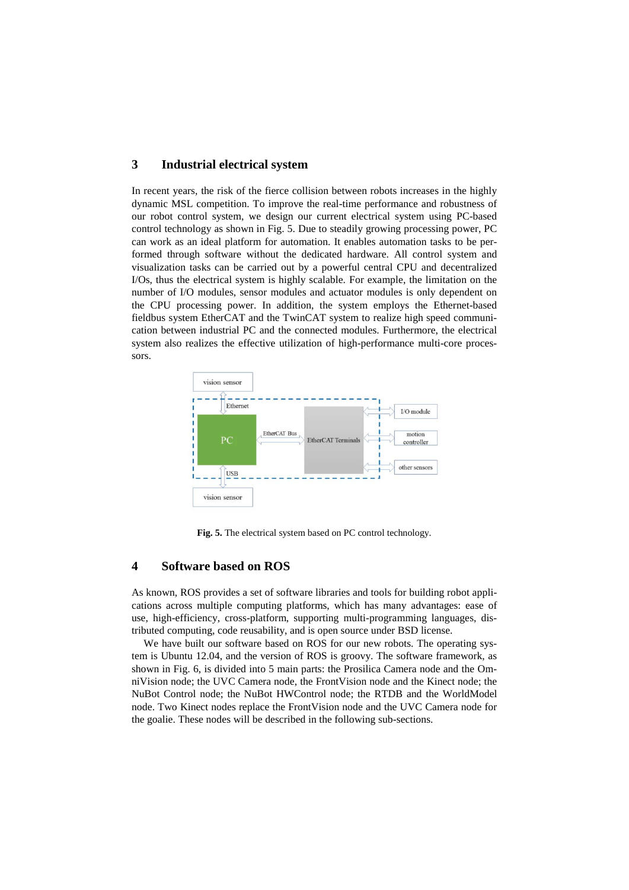### **3 Industrial electrical system**

In recent years, the risk of the fierce collision between robots increases in the highly dynamic MSL competition. To improve the real-time performance and robustness of our robot control system, we design our current electrical system using PC-based control technology as shown in Fig. 5. Due to steadily growing processing power, PC can work as an ideal platform for automation. It enables automation tasks to be performed through software without the dedicated hardware. All control system and visualization tasks can be carried out by a powerful central CPU and decentralized I/Os, thus the electrical system is highly scalable. For example, the limitation on the number of I/O modules, sensor modules and actuator modules is only dependent on the CPU processing power. In addition, the system employs the Ethernet-based fieldbus system EtherCAT and the TwinCAT system to realize high speed communication between industrial PC and the connected modules. Furthermore, the electrical system also realizes the effective utilization of high-performance multi-core processors.



**Fig. 5.** The electrical system based on PC control technology.

### **4 Software based on ROS**

As known, ROS provides a set of software libraries and tools for building robot applications across multiple computing platforms, which has many advantages: ease of use, high-efficiency, cross-platform, supporting multi-programming languages, distributed computing, code reusability, and is open source under BSD license.

We have built our software based on ROS for our new robots. The operating system is Ubuntu 12.04, and the version of ROS is groovy. The software framework, as shown in Fig. 6, is divided into 5 main parts: the Prosilica Camera node and the OmniVision node; the UVC Camera node, the FrontVision node and the Kinect node; the NuBot Control node; the NuBot HWControl node; the RTDB and the WorldModel node. Two Kinect nodes replace the FrontVision node and the UVC Camera node for the goalie. These nodes will be described in the following sub-sections.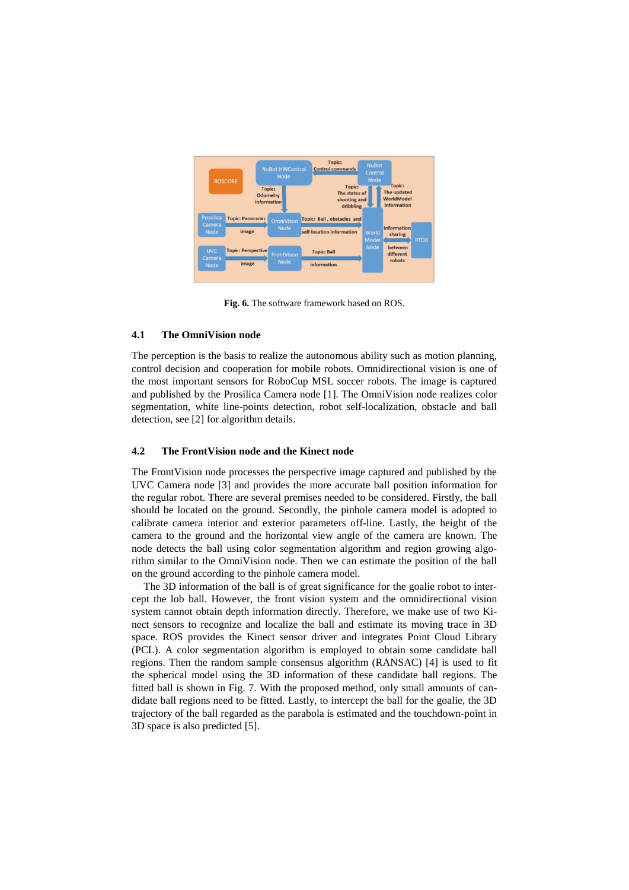

**Fig. 6.** The software framework based on ROS.

#### **4.1 The OmniVision node**

The perception is the basis to realize the autonomous ability such as motion planning, control decision and cooperation for mobile robots. Omnidirectional vision is one of the most important sensors for RoboCup MSL soccer robots. The image is captured and published by the Prosilica Camera node [1]. The OmniVision node realizes color segmentation, white line-points detection, robot self-localization, obstacle and ball detection, see [2] for algorithm details.

#### **4.2 The FrontVision node and the Kinect node**

The FrontVision node processes the perspective image captured and published by the UVC Camera node [3] and provides the more accurate ball position information for the regular robot. There are several premises needed to be considered. Firstly, the ball should be located on the ground. Secondly, the pinhole camera model is adopted to calibrate camera interior and exterior parameters off-line. Lastly, the height of the camera to the ground and the horizontal view angle of the camera are known. The node detects the ball using color segmentation algorithm and region growing algorithm similar to the OmniVision node. Then we can estimate the position of the ball on the ground according to the pinhole camera model.

The 3D information of the ball is of great significance for the goalie robot to intercept the lob ball. However, the front vision system and the omnidirectional vision system cannot obtain depth information directly. Therefore, we make use of two Kinect sensors to recognize and localize the ball and estimate its moving trace in 3D space. ROS provides the Kinect sensor driver and integrates Point Cloud Library (PCL). A color segmentation algorithm is employed to obtain some candidate ball regions. Then the random sample consensus algorithm (RANSAC) [4] is used to fit the spherical model using the 3D information of these candidate ball regions. The fitted ball is shown in Fig. 7. With the proposed method, only small amounts of candidate ball regions need to be fitted. Lastly, to intercept the ball for the goalie, the 3D trajectory of the ball regarded as the parabola is estimated and the touchdown-point in 3D space is also predicted [5].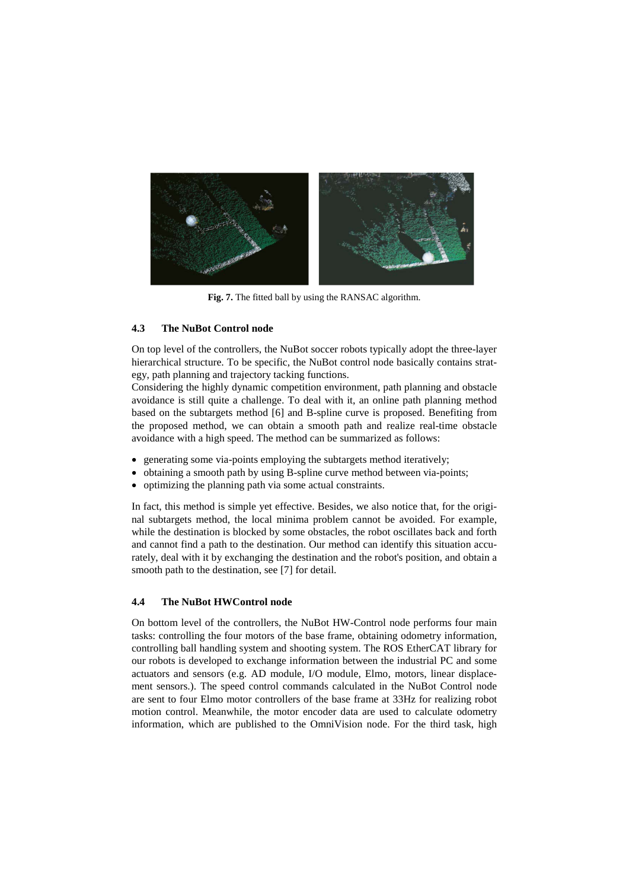

**Fig. 7.** The fitted ball by using the RANSAC algorithm.

### **4.3 The NuBot Control node**

On top level of the controllers, the NuBot soccer robots typically adopt the three-layer hierarchical structure. To be specific, the NuBot control node basically contains strategy, path planning and trajectory tacking functions.

Considering the highly dynamic competition environment, path planning and obstacle avoidance is still quite a challenge. To deal with it, an online path planning method based on the subtargets method [6] and B-spline curve is proposed. Benefiting from the proposed method, we can obtain a smooth path and realize real-time obstacle avoidance with a high speed. The method can be summarized as follows:

- generating some via-points employing the subtargets method iteratively;
- obtaining a smooth path by using B-spline curve method between via-points;
- optimizing the planning path via some actual constraints.

In fact, this method is simple yet effective. Besides, we also notice that, for the original subtargets method, the local minima problem cannot be avoided. For example, while the destination is blocked by some obstacles, the robot oscillates back and forth and cannot find a path to the destination. Our method can identify this situation accurately, deal with it by exchanging the destination and the robot's position, and obtain a smooth path to the destination, see [7] for detail.

#### **4.4 The NuBot HWControl node**

On bottom level of the controllers, the NuBot HW-Control node performs four main tasks: controlling the four motors of the base frame, obtaining odometry information, controlling ball handling system and shooting system. The ROS EtherCAT library for our robots is developed to exchange information between the industrial PC and some actuators and sensors (e.g. AD module, I/O module, Elmo, motors, linear displacement sensors.). The speed control commands calculated in the NuBot Control node are sent to four Elmo motor controllers of the base frame at 33Hz for realizing robot motion control. Meanwhile, the motor encoder data are used to calculate odometry information, which are published to the OmniVision node. For the third task, high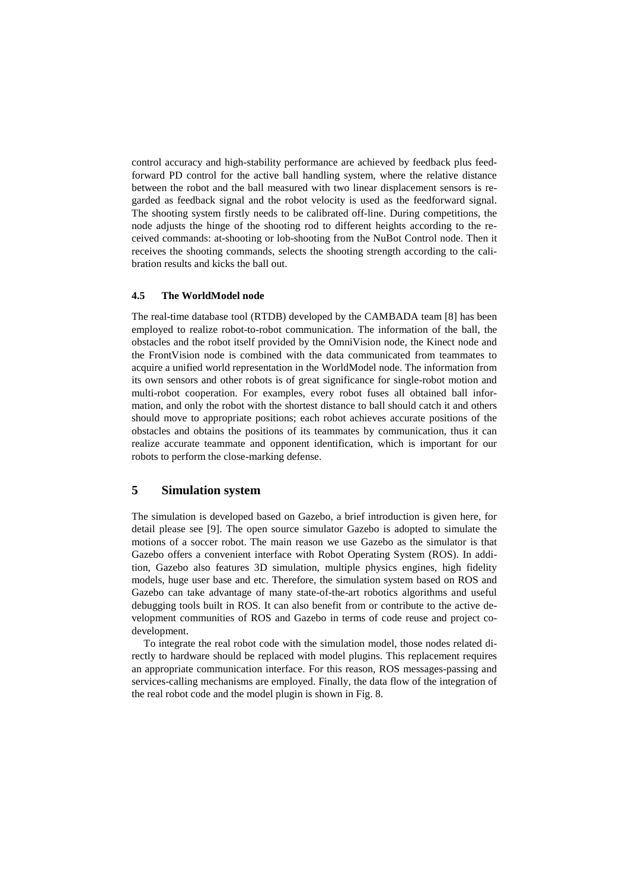control accuracy and high-stability performance are achieved by feedback plus feedforward PD control for the active ball handling system, where the relative distance between the robot and the ball measured with two linear displacement sensors is regarded as feedback signal and the robot velocity is used as the feedforward signal. The shooting system firstly needs to be calibrated off-line. During competitions, the node adjusts the hinge of the shooting rod to different heights according to the received commands: at-shooting or lob-shooting from the NuBot Control node. Then it receives the shooting commands, selects the shooting strength according to the calibration results and kicks the ball out.

### **4.5 The WorldModel node**

The real-time database tool (RTDB) developed by the CAMBADA team [8] has been employed to realize robot-to-robot communication. The information of the ball, the obstacles and the robot itself provided by the OmniVision node, the Kinect node and the FrontVision node is combined with the data communicated from teammates to acquire a unified world representation in the WorldModel node. The information from its own sensors and other robots is of great significance for single-robot motion and multi-robot cooperation. For examples, every robot fuses all obtained ball information, and only the robot with the shortest distance to ball should catch it and others should move to appropriate positions; each robot achieves accurate positions of the obstacles and obtains the positions of its teammates by communication, thus it can realize accurate teammate and opponent identification, which is important for our robots to perform the close-marking defense.

## **5 Simulation system**

The simulation is developed based on Gazebo, a brief introduction is given here, for detail please see [9]. The open source simulator Gazebo is adopted to simulate the motions of a soccer robot. The main reason we use Gazebo as the simulator is that Gazebo offers a convenient interface with Robot Operating System (ROS). In addition, Gazebo also features 3D simulation, multiple physics engines, high fidelity models, huge user base and etc. Therefore, the simulation system based on ROS and Gazebo can take advantage of many state-of-the-art robotics algorithms and useful debugging tools built in ROS. It can also benefit from or contribute to the active development communities of ROS and Gazebo in terms of code reuse and project codevelopment.

To integrate the real robot code with the simulation model, those nodes related directly to hardware should be replaced with model plugins. This replacement requires an appropriate communication interface. For this reason, ROS messages-passing and services-calling mechanisms are employed. Finally, the data flow of the integration of the real robot code and the model plugin is shown in Fig. 8.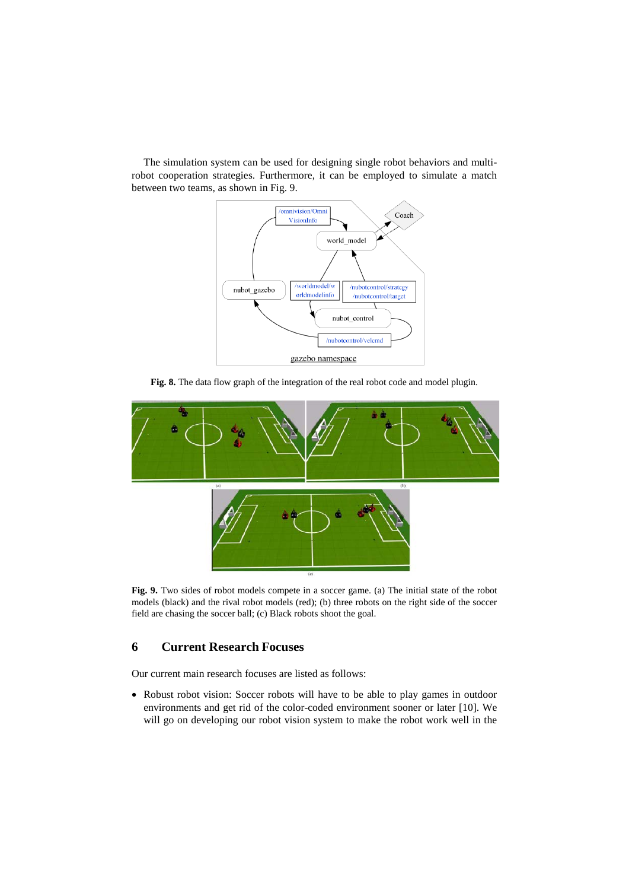The simulation system can be used for designing single robot behaviors and multirobot cooperation strategies. Furthermore, it can be employed to simulate a match between two teams, as shown in Fig. 9.



**Fig. 8.** The data flow graph of the integration of the real robot code and model plugin.



**Fig. 9.** Two sides of robot models compete in a soccer game. (a) The initial state of the robot models (black) and the rival robot models (red); (b) three robots on the right side of the soccer field are chasing the soccer ball; (c) Black robots shoot the goal.

## **6 Current Research Focuses**

Our current main research focuses are listed as follows:

• Robust robot vision: Soccer robots will have to be able to play games in outdoor environments and get rid of the color-coded environment sooner or later [10]. We will go on developing our robot vision system to make the robot work well in the